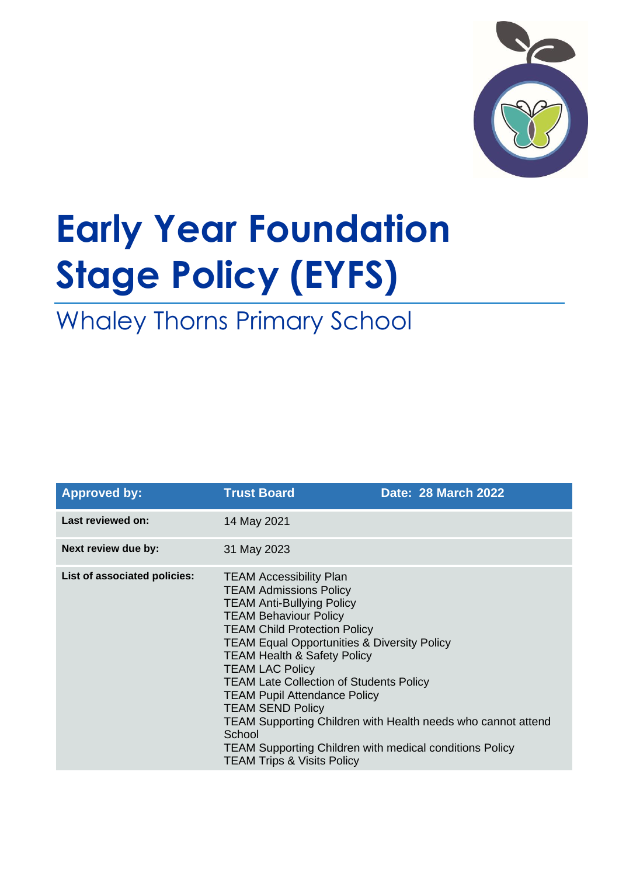

# **Early Year Foundation Stage Policy (EYFS)**

Whaley Thorns Primary School

| <b>Approved by:</b>          | <b>Trust Board</b>                                                                                                                                                                                                                                                                                                                                                                                                                                                                                                                                                                                                | <b>Date: 28 March 2022</b> |
|------------------------------|-------------------------------------------------------------------------------------------------------------------------------------------------------------------------------------------------------------------------------------------------------------------------------------------------------------------------------------------------------------------------------------------------------------------------------------------------------------------------------------------------------------------------------------------------------------------------------------------------------------------|----------------------------|
| Last reviewed on:            | 14 May 2021                                                                                                                                                                                                                                                                                                                                                                                                                                                                                                                                                                                                       |                            |
| Next review due by:          | 31 May 2023                                                                                                                                                                                                                                                                                                                                                                                                                                                                                                                                                                                                       |                            |
| List of associated policies: | <b>TEAM Accessibility Plan</b><br><b>TEAM Admissions Policy</b><br><b>TEAM Anti-Bullying Policy</b><br><b>TEAM Behaviour Policy</b><br><b>TEAM Child Protection Policy</b><br><b>TEAM Equal Opportunities &amp; Diversity Policy</b><br><b>TEAM Health &amp; Safety Policy</b><br><b>TEAM LAC Policy</b><br><b>TEAM Late Collection of Students Policy</b><br><b>TEAM Pupil Attendance Policy</b><br><b>TEAM SEND Policy</b><br>TEAM Supporting Children with Health needs who cannot attend<br>School<br><b>TEAM Supporting Children with medical conditions Policy</b><br><b>TEAM Trips &amp; Visits Policy</b> |                            |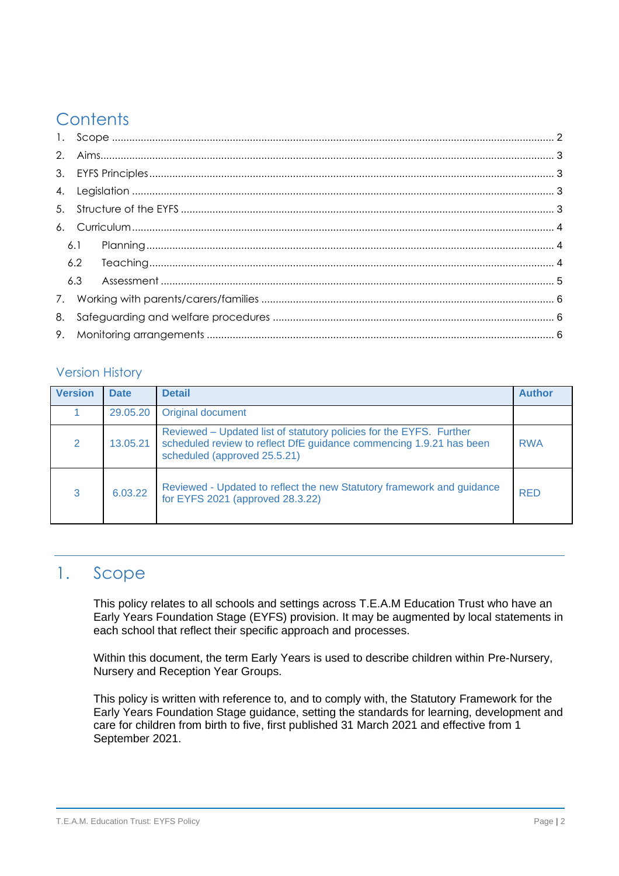# **Contents**

|  | 6.1 |  |  |  |
|--|-----|--|--|--|
|  |     |  |  |  |
|  |     |  |  |  |
|  |     |  |  |  |
|  |     |  |  |  |
|  |     |  |  |  |

#### Version History

| <b>Version</b> | <b>Date</b> | <b>Detail</b>                                                                                                                                                              | <b>Author</b> |
|----------------|-------------|----------------------------------------------------------------------------------------------------------------------------------------------------------------------------|---------------|
|                | 29.05.20    | <b>Original document</b>                                                                                                                                                   |               |
| $\mathcal{P}$  | 13.05.21    | Reviewed – Updated list of statutory policies for the EYFS. Further<br>scheduled review to reflect DfE guidance commencing 1.9.21 has been<br>scheduled (approved 25.5.21) | <b>RWA</b>    |
| 3              | 6.03.22     | Reviewed - Updated to reflect the new Statutory framework and guidance<br>for EYFS 2021 (approved 28.3.22)                                                                 | <b>RED</b>    |

## <span id="page-1-0"></span>1. Scope

This policy relates to all schools and settings across T.E.A.M Education Trust who have an Early Years Foundation Stage (EYFS) provision. It may be augmented by local statements in each school that reflect their specific approach and processes.

Within this document, the term Early Years is used to describe children within Pre-Nursery, Nursery and Reception Year Groups.

This policy is written with reference to, and to comply with, the Statutory Framework for the Early Years Foundation Stage guidance, setting the standards for learning, development and care for children from birth to five, first published 31 March 2021 and effective from 1 September 2021.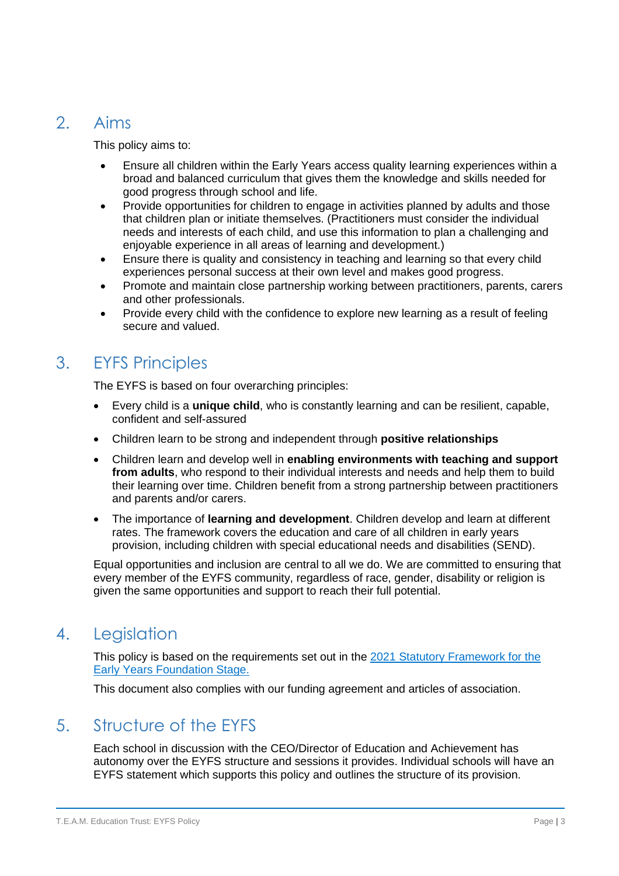## <span id="page-2-0"></span>2. Aims

This policy aims to:

- Ensure all children within the Early Years access quality learning experiences within a broad and balanced curriculum that gives them the knowledge and skills needed for good progress through school and life.
- Provide opportunities for children to engage in activities planned by adults and those that children plan or initiate themselves. (Practitioners must consider the individual needs and interests of each child, and use this information to plan a challenging and enjoyable experience in all areas of learning and development.)
- Ensure there is quality and consistency in teaching and learning so that every child experiences personal success at their own level and makes good progress.
- Promote and maintain close partnership working between practitioners, parents, carers and other professionals.
- Provide every child with the confidence to explore new learning as a result of feeling secure and valued.

## <span id="page-2-1"></span>3. EYFS Principles

The EYFS is based on four overarching principles:

- Every child is a **unique child**, who is constantly learning and can be resilient, capable, confident and self-assured
- Children learn to be strong and independent through **positive relationships**
- Children learn and develop well in **enabling environments with teaching and support from adults**, who respond to their individual interests and needs and help them to build their learning over time. Children benefit from a strong partnership between practitioners and parents and/or carers.
- The importance of **learning and development**. Children develop and learn at different rates. The framework covers the education and care of all children in early years provision, including children with special educational needs and disabilities (SEND).

Equal opportunities and inclusion are central to all we do. We are committed to ensuring that every member of the EYFS community, regardless of race, gender, disability or religion is given the same opportunities and support to reach their full potential.

## <span id="page-2-2"></span>4. Legislation

This policy is based on the requirements set out in the [2021 Statutory Framework for the](file:///C:/Users/Downloads/EYFS_framework_-_March_2021.pdf)  [Early Years Foundation Stage.](file:///C:/Users/Downloads/EYFS_framework_-_March_2021.pdf)

This document also complies with our funding agreement and articles of association.

## <span id="page-2-3"></span>5. Structure of the EYFS

Each school in discussion with the CEO/Director of Education and Achievement has autonomy over the EYFS structure and sessions it provides. Individual schools will have an EYFS statement which supports this policy and outlines the structure of its provision.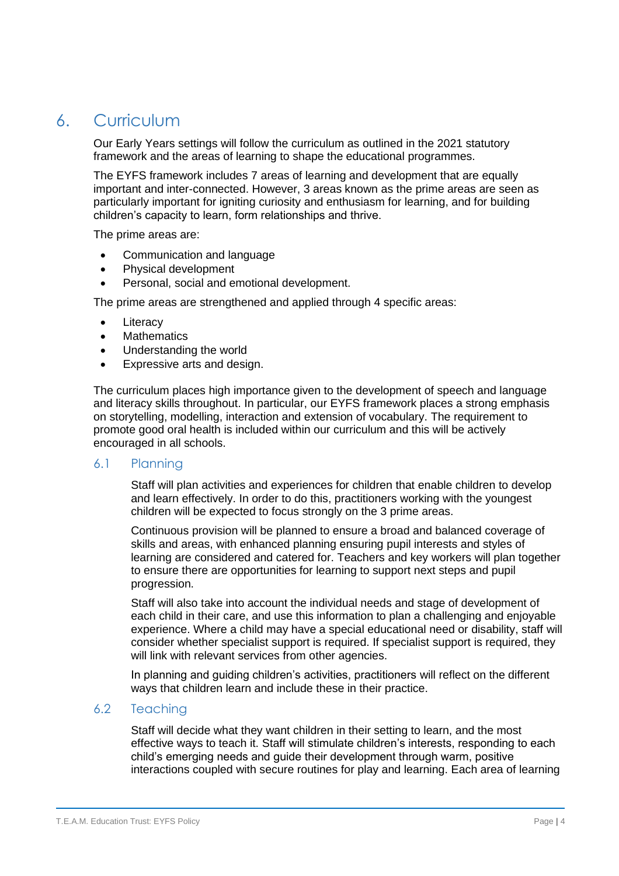## <span id="page-3-0"></span>6. Curriculum

Our Early Years settings will follow the curriculum as outlined in the 2021 statutory framework and the areas of learning to shape the educational programmes.

The EYFS framework includes 7 areas of learning and development that are equally important and inter-connected. However, 3 areas known as the prime areas are seen as particularly important for igniting curiosity and enthusiasm for learning, and for building children's capacity to learn, form relationships and thrive.

The prime areas are:

- Communication and language
- Physical development
- Personal, social and emotional development.

The prime areas are strengthened and applied through 4 specific areas:

- **Literacy**
- Mathematics
- Understanding the world
- Expressive arts and design.

The curriculum places high importance given to the development of speech and language and literacy skills throughout. In particular, our EYFS framework places a strong emphasis on storytelling, modelling, interaction and extension of vocabulary. The requirement to promote good oral health is included within our curriculum and this will be actively encouraged in all schools.

#### <span id="page-3-1"></span>6.1 Planning

Staff will plan activities and experiences for children that enable children to develop and learn effectively. In order to do this, practitioners working with the youngest children will be expected to focus strongly on the 3 prime areas.

Continuous provision will be planned to ensure a broad and balanced coverage of skills and areas, with enhanced planning ensuring pupil interests and styles of learning are considered and catered for. Teachers and key workers will plan together to ensure there are opportunities for learning to support next steps and pupil progression.

Staff will also take into account the individual needs and stage of development of each child in their care, and use this information to plan a challenging and enjoyable experience. Where a child may have a special educational need or disability, staff will consider whether specialist support is required. If specialist support is required, they will link with relevant services from other agencies.

In planning and guiding children's activities, practitioners will reflect on the different ways that children learn and include these in their practice.

#### <span id="page-3-2"></span>6.2 Teaching

Staff will decide what they want children in their setting to learn, and the most effective ways to teach it. Staff will stimulate children's interests, responding to each child's emerging needs and guide their development through warm, positive interactions coupled with secure routines for play and learning. Each area of learning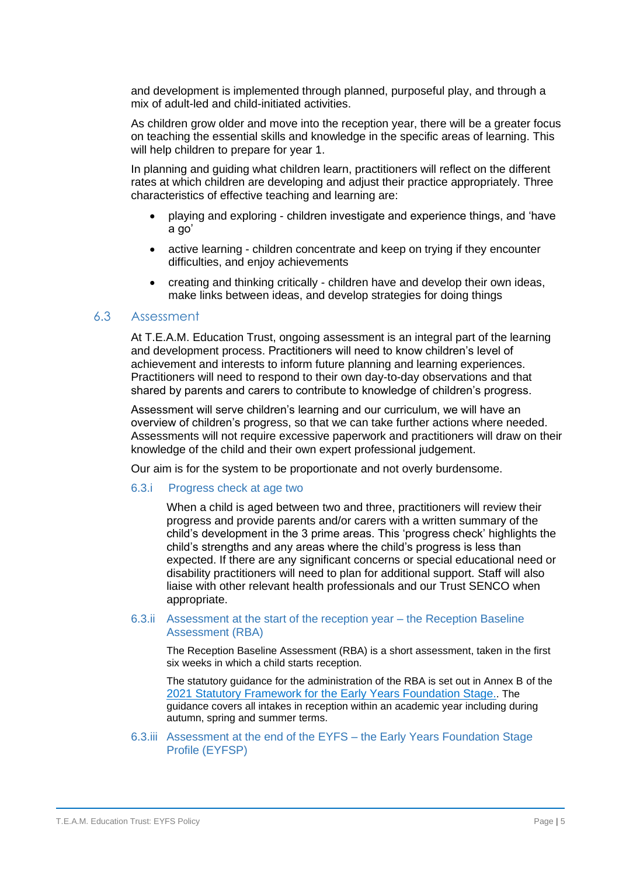and development is implemented through planned, purposeful play, and through a mix of adult-led and child-initiated activities.

As children grow older and move into the reception year, there will be a greater focus on teaching the essential skills and knowledge in the specific areas of learning. This will help children to prepare for year 1.

In planning and guiding what children learn, practitioners will reflect on the different rates at which children are developing and adjust their practice appropriately. Three characteristics of effective teaching and learning are:

- playing and exploring children investigate and experience things, and 'have a go'
- active learning children concentrate and keep on trying if they encounter difficulties, and enjoy achievements
- creating and thinking critically children have and develop their own ideas, make links between ideas, and develop strategies for doing things

#### <span id="page-4-0"></span>6.3 Assessment

At T.E.A.M. Education Trust, ongoing assessment is an integral part of the learning and development process. Practitioners will need to know children's level of achievement and interests to inform future planning and learning experiences. Practitioners will need to respond to their own day-to-day observations and that shared by parents and carers to contribute to knowledge of children's progress.

Assessment will serve children's learning and our curriculum, we will have an overview of children's progress, so that we can take further actions where needed. Assessments will not require excessive paperwork and practitioners will draw on their knowledge of the child and their own expert professional judgement.

Our aim is for the system to be proportionate and not overly burdensome.

#### 6.3.i Progress check at age two

When a child is aged between two and three, practitioners will review their progress and provide parents and/or carers with a written summary of the child's development in the 3 prime areas. This 'progress check' highlights the child's strengths and any areas where the child's progress is less than expected. If there are any significant concerns or special educational need or disability practitioners will need to plan for additional support. Staff will also liaise with other relevant health professionals and our Trust SENCO when appropriate.

#### 6.3.ii Assessment at the start of the reception year – the Reception Baseline Assessment (RBA)

The Reception Baseline Assessment (RBA) is a short assessment, taken in the first six weeks in which a child starts reception.

The statutory guidance for the administration of the RBA is set out in Annex B of the [2021 Statutory Framework for the Early Years](file:///C:/Users/Rachel.Edwardson/Downloads/EYFS_framework_-_March_2021.pdf) Foundation Stage.. The guidance covers all intakes in reception within an academic year including during autumn, spring and summer terms.

#### 6.3.iii Assessment at the end of the EYFS – the Early Years Foundation Stage Profile (EYFSP)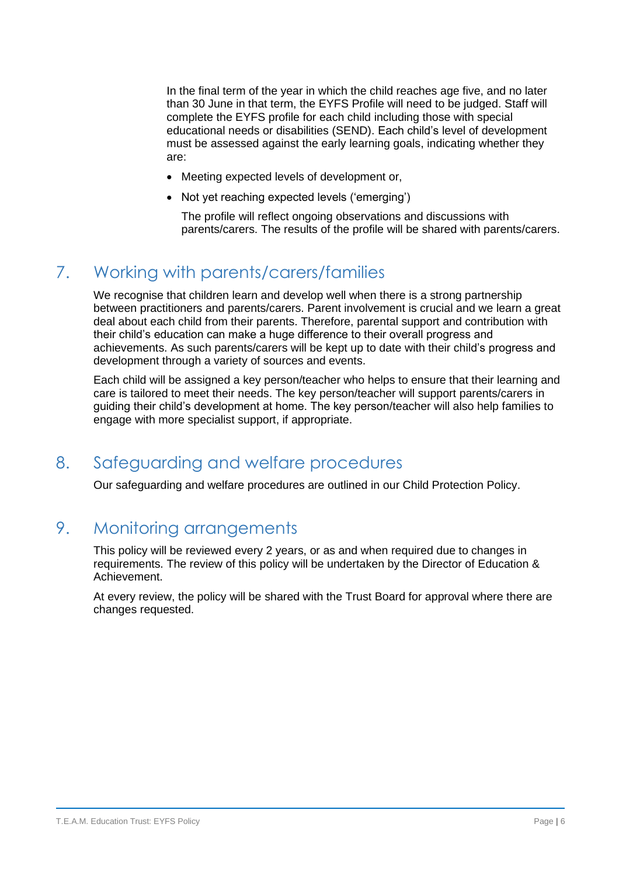In the final term of the year in which the child reaches age five, and no later than 30 June in that term, the EYFS Profile will need to be judged. Staff will complete the EYFS profile for each child including those with special educational needs or disabilities (SEND). Each child's level of development must be assessed against the early learning goals, indicating whether they are:

- Meeting expected levels of development or,
- Not yet reaching expected levels ('emerging')
	- The profile will reflect ongoing observations and discussions with parents/carers. The results of the profile will be shared with parents/carers.

## <span id="page-5-0"></span>7. Working with parents/carers/families

We recognise that children learn and develop well when there is a strong partnership between practitioners and parents/carers. Parent involvement is crucial and we learn a great deal about each child from their parents. Therefore, parental support and contribution with their child's education can make a huge difference to their overall progress and achievements. As such parents/carers will be kept up to date with their child's progress and development through a variety of sources and events.

Each child will be assigned a key person/teacher who helps to ensure that their learning and care is tailored to meet their needs. The key person/teacher will support parents/carers in guiding their child's development at home. The key person/teacher will also help families to engage with more specialist support, if appropriate.

### <span id="page-5-1"></span>8. Safeguarding and welfare procedures

Our safeguarding and welfare procedures are outlined in our Child Protection Policy.

## <span id="page-5-2"></span>9. Monitoring arrangements

This policy will be reviewed every 2 years, or as and when required due to changes in requirements. The review of this policy will be undertaken by the Director of Education & Achievement.

At every review, the policy will be shared with the Trust Board for approval where there are changes requested.